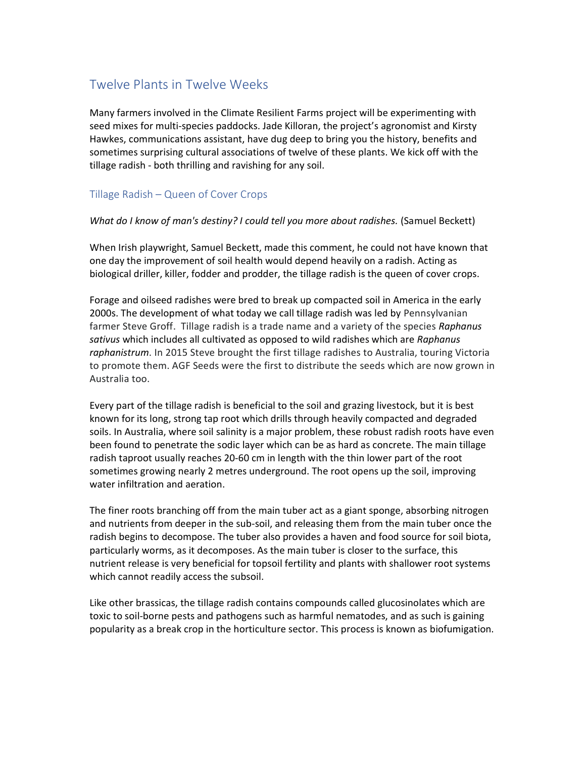## Twelve Plants in Twelve Weeks

Many farmers involved in the Climate Resilient Farms project will be experimenting with seed mixes for multi-species paddocks. Jade Killoran, the project's agronomist and Kirsty Hawkes, communications assistant, have dug deep to bring you the history, benefits and sometimes surprising cultural associations of twelve of these plants. We kick off with the tillage radish - both thrilling and ravishing for any soil.

## Tillage Radish – Queen of Cover Crops

## What do I know of man's destiny? I could tell you more about radishes. (Samuel Beckett)

When Irish playwright, Samuel Beckett, made this comment, he could not have known that one day the improvement of soil health would depend heavily on a radish. Acting as biological driller, killer, fodder and prodder, the tillage radish is the queen of cover crops.

Forage and oilseed radishes were bred to break up compacted soil in America in the early 2000s. The development of what today we call tillage radish was led by Pennsylvanian farmer Steve Groff. Tillage radish is a trade name and a variety of the species Raphanus sativus which includes all cultivated as opposed to wild radishes which are Raphanus raphanistrum. In 2015 Steve brought the first tillage radishes to Australia, touring Victoria to promote them. AGF Seeds were the first to distribute the seeds which are now grown in Australia too.

Every part of the tillage radish is beneficial to the soil and grazing livestock, but it is best known for its long, strong tap root which drills through heavily compacted and degraded soils. In Australia, where soil salinity is a major problem, these robust radish roots have even been found to penetrate the sodic layer which can be as hard as concrete. The main tillage radish taproot usually reaches 20-60 cm in length with the thin lower part of the root sometimes growing nearly 2 metres underground. The root opens up the soil, improving water infiltration and aeration.

The finer roots branching off from the main tuber act as a giant sponge, absorbing nitrogen and nutrients from deeper in the sub-soil, and releasing them from the main tuber once the radish begins to decompose. The tuber also provides a haven and food source for soil biota, particularly worms, as it decomposes. As the main tuber is closer to the surface, this nutrient release is very beneficial for topsoil fertility and plants with shallower root systems which cannot readily access the subsoil.

Like other brassicas, the tillage radish contains compounds called glucosinolates which are toxic to soil-borne pests and pathogens such as harmful nematodes, and as such is gaining popularity as a break crop in the horticulture sector. This process is known as biofumigation.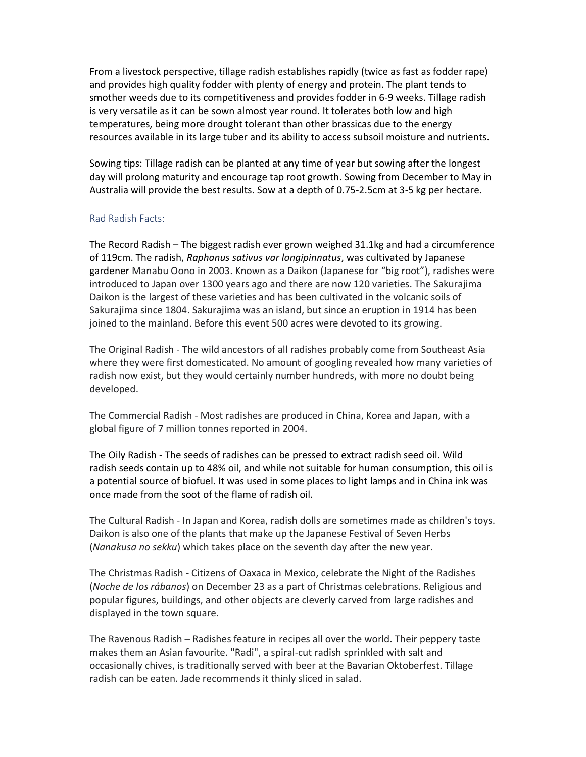From a livestock perspective, tillage radish establishes rapidly (twice as fast as fodder rape) and provides high quality fodder with plenty of energy and protein. The plant tends to smother weeds due to its competitiveness and provides fodder in 6-9 weeks. Tillage radish is very versatile as it can be sown almost year round. It tolerates both low and high temperatures, being more drought tolerant than other brassicas due to the energy resources available in its large tuber and its ability to access subsoil moisture and nutrients.

Sowing tips: Tillage radish can be planted at any time of year but sowing after the longest day will prolong maturity and encourage tap root growth. Sowing from December to May in Australia will provide the best results. Sow at a depth of 0.75-2.5cm at 3-5 kg per hectare.

## Rad Radish Facts:

The Record Radish – The biggest radish ever grown weighed 31.1kg and had a circumference of 119cm. The radish, Raphanus sativus var longipinnatus, was cultivated by Japanese gardener Manabu Oono in 2003. Known as a Daikon (Japanese for "big root"), radishes were introduced to Japan over 1300 years ago and there are now 120 varieties. The Sakurajima Daikon is the largest of these varieties and has been cultivated in the volcanic soils of Sakurajima since 1804. Sakurajima was an island, but since an eruption in 1914 has been joined to the mainland. Before this event 500 acres were devoted to its growing.

The Original Radish - The wild ancestors of all radishes probably come from Southeast Asia where they were first domesticated. No amount of googling revealed how many varieties of radish now exist, but they would certainly number hundreds, with more no doubt being developed.

The Commercial Radish - Most radishes are produced in China, Korea and Japan, with a global figure of 7 million tonnes reported in 2004.

The Oily Radish - The seeds of radishes can be pressed to extract radish seed oil. Wild radish seeds contain up to 48% oil, and while not suitable for human consumption, this oil is a potential source of biofuel. It was used in some places to light lamps and in China ink was once made from the soot of the flame of radish oil.

The Cultural Radish - In Japan and Korea, radish dolls are sometimes made as children's toys. Daikon is also one of the plants that make up the Japanese Festival of Seven Herbs (Nanakusa no sekku) which takes place on the seventh day after the new year.

The Christmas Radish - Citizens of Oaxaca in Mexico, celebrate the Night of the Radishes (Noche de los rábanos) on December 23 as a part of Christmas celebrations. Religious and popular figures, buildings, and other objects are cleverly carved from large radishes and displayed in the town square.

The Ravenous Radish – Radishes feature in recipes all over the world. Their peppery taste makes them an Asian favourite. "Radi", a spiral-cut radish sprinkled with salt and occasionally chives, is traditionally served with beer at the Bavarian Oktoberfest. Tillage radish can be eaten. Jade recommends it thinly sliced in salad.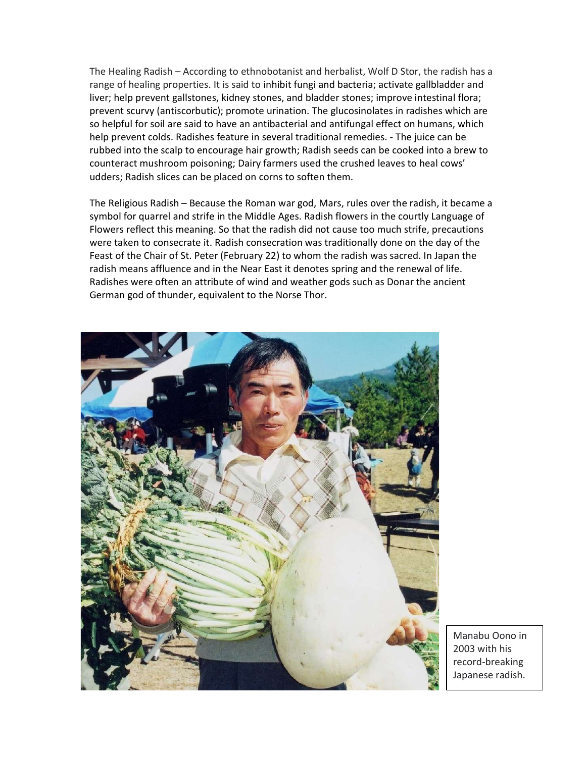The Healing Radish – According to ethnobotanist and herbalist, Wolf D Stor, the radish has a range of healing properties. It is said to inhibit fungi and bacteria; activate gallbladder and liver; help prevent gallstones, kidney stones, and bladder stones; improve intestinal flora; prevent scurvy (antiscorbutic); promote urination. The glucosinolates in radishes which are so helpful for soil are said to have an antibacterial and antifungal effect on humans, which help prevent colds. Radishes feature in several traditional remedies. - The juice can be rubbed into the scalp to encourage hair growth; Radish seeds can be cooked into a brew to counteract mushroom poisoning; Dairy farmers used the crushed leaves to heal cows' udders; Radish slices can be placed on corns to soften them.

The Religious Radish – Because the Roman war god, Mars, rules over the radish, it became a symbol for quarrel and strife in the Middle Ages. Radish flowers in the courtly Language of Flowers reflect this meaning. So that the radish did not cause too much strife, precautions were taken to consecrate it. Radish consecration was traditionally done on the day of the Feast of the Chair of St. Peter (February 22) to whom the radish was sacred. In Japan the radish means affluence and in the Near East it denotes spring and the renewal of life. Radishes were often an attribute of wind and weather gods such as Donar the ancient German god of thunder, equivalent to the Norse Thor.



Manabu Oono in 2003 with his record-breaking Japanese radish.